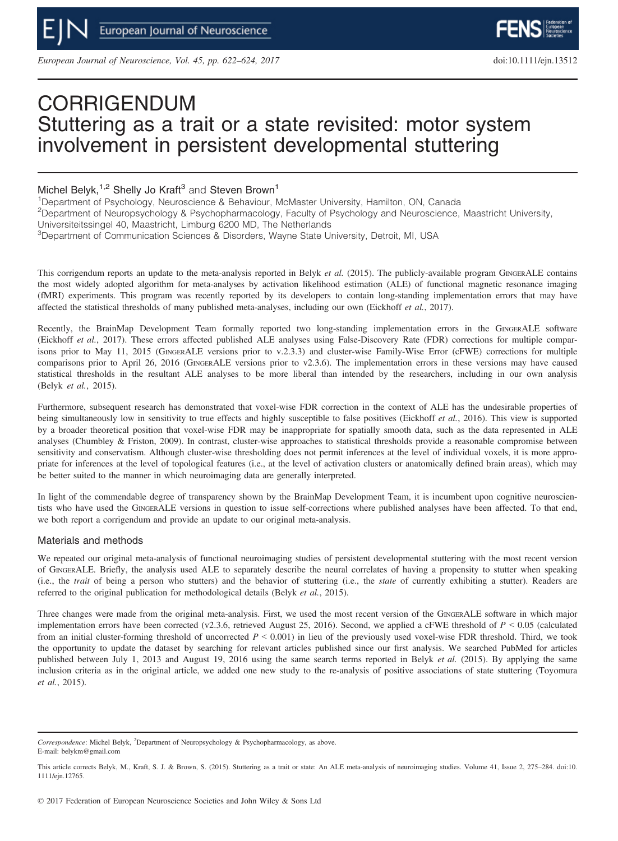European Journal of Neuroscience, Vol. 45, pp. 622–624, 2017 doi:10.1111/ejn.13512

# CORRIGENDUM Stuttering as a trait or a state revisited: motor system involvement in persistent developmental stuttering

## Michel Belyk,<sup>1,2</sup> Shelly Jo Kraft<sup>3</sup> and Steven Brown<sup>1</sup>

<sup>1</sup>Department of Psychology, Neuroscience & Behaviour, McMaster University, Hamilton, ON, Canada 2 Department of Neuropsychology & Psychopharmacology, Faculty of Psychology and Neuroscience, Maastricht University, Universiteitssingel 40, Maastricht, Limburg 6200 MD, The Netherlands

<sup>3</sup>Department of Communication Sciences & Disorders, Wayne State University, Detroit, MI, USA

This corrigendum reports an update to the meta-analysis reported in Belyk et al. (2015). The publicly-available program GINGERALE contains the most widely adopted algorithm for meta-analyses by activation likelihood estimation (ALE) of functional magnetic resonance imaging (fMRI) experiments. This program was recently reported by its developers to contain long-standing implementation errors that may have affected the statistical thresholds of many published meta-analyses, including our own (Eickhoff et al., 2017).

Recently, the BrainMap Development Team formally reported two long-standing implementation errors in the GINGERALE software (Eickhoff et al., 2017). These errors affected published ALE analyses using False-Discovery Rate (FDR) corrections for multiple comparisons prior to May 11, 2015 (GINGERALE versions prior to v.2.3.3) and cluster-wise Family-Wise Error (cFWE) corrections for multiple comparisons prior to April 26, 2016 (GINGERALE versions prior to v2.3.6). The implementation errors in these versions may have caused statistical thresholds in the resultant ALE analyses to be more liberal than intended by the researchers, including in our own analysis (Belyk et al., 2015).

Furthermore, subsequent research has demonstrated that voxel-wise FDR correction in the context of ALE has the undesirable properties of being simultaneously low in sensitivity to true effects and highly susceptible to false positives (Eickhoff et al., 2016). This view is supported by a broader theoretical position that voxel-wise FDR may be inappropriate for spatially smooth data, such as the data represented in ALE analyses (Chumbley & Friston, 2009). In contrast, cluster-wise approaches to statistical thresholds provide a reasonable compromise between sensitivity and conservatism. Although cluster-wise thresholding does not permit inferences at the level of individual voxels, it is more appropriate for inferences at the level of topological features (i.e., at the level of activation clusters or anatomically defined brain areas), which may be better suited to the manner in which neuroimaging data are generally interpreted.

In light of the commendable degree of transparency shown by the BrainMap Development Team, it is incumbent upon cognitive neuroscientists who have used the GINGERALE versions in question to issue self-corrections where published analyses have been affected. To that end, we both report a corrigendum and provide an update to our original meta-analysis.

## Materials and methods

We repeated our original meta-analysis of functional neuroimaging studies of persistent developmental stuttering with the most recent version of GINGERALE. Briefly, the analysis used ALE to separately describe the neural correlates of having a propensity to stutter when speaking (i.e., the trait of being a person who stutters) and the behavior of stuttering (i.e., the state of currently exhibiting a stutter). Readers are referred to the original publication for methodological details (Belyk et al., 2015).

Three changes were made from the original meta-analysis. First, we used the most recent version of the GINGERALE software in which major implementation errors have been corrected (v2.3.6, retrieved August 25, 2016). Second, we applied a cFWE threshold of  $P \le 0.05$  (calculated from an initial cluster-forming threshold of uncorrected  $P < 0.001$ ) in lieu of the previously used voxel-wise FDR threshold. Third, we took the opportunity to update the dataset by searching for relevant articles published since our first analysis. We searched PubMed for articles published between July 1, 2013 and August 19, 2016 using the same search terms reported in Belyk et al. (2015). By applying the same inclusion criteria as in the original article, we added one new study to the re-analysis of positive associations of state stuttering (Toyomura et al., 2015).

Correspondence: Michel Belyk, <sup>2</sup>Department of Neuropsychology & Psychopharmacology, as above. E-mail: belykm@gmail.com

This article corrects Belyk, M., Kraft, S. J. & Brown, S. (2015). Stuttering as a trait or state: An ALE meta-analysis of neuroimaging studies. Volume 41, Issue 2, 275–284. doi:[10.](info:doi/10.1111/ejn.12765) [1111/ejn.12765.](info:doi/10.1111/ejn.12765)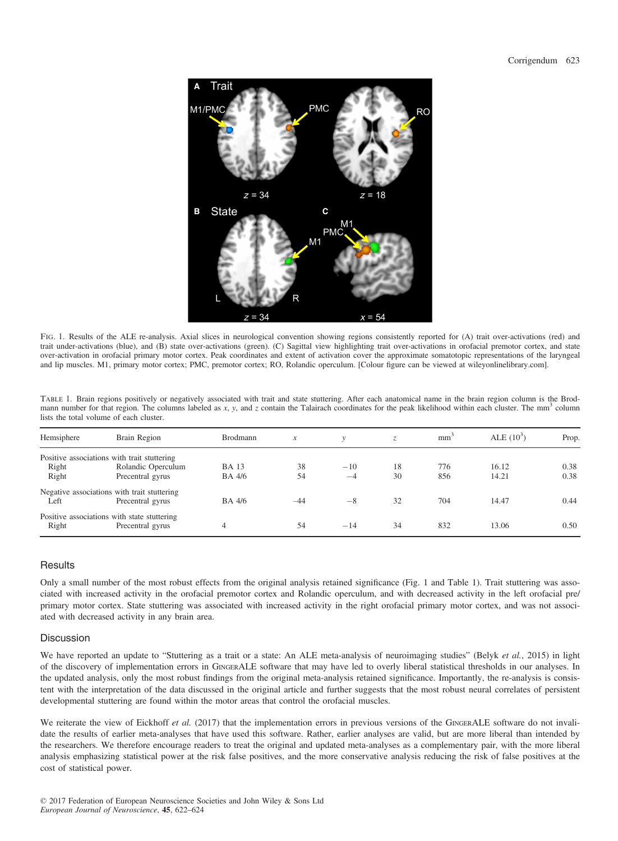

Fig. 1. Results of the ALE re-analysis. Axial slices in neurological convention showing regions consistently reported for (A) trait over-activations (red) and trait under-activations (blue), and (B) state over-activations (green). (C) Sagittal view highlighting trait over-activations in orofacial premotor cortex, and state over-activation in orofacial primary motor cortex. Peak coordinates and extent of activation cover the approximate somatotopic representations of the laryngeal and lip muscles. M1, primary motor cortex; PMC, premotor cortex; RO, Rolandic operculum. [Colour figure can be viewed at wileyonlinelibrary.com].

| TABLE 1. Brain regions positively or negatively associated with trait and state stuttering. After each anatomical name in the brain region column is the Brod-            |  |
|---------------------------------------------------------------------------------------------------------------------------------------------------------------------------|--|
| mann number for that region. The columns labeled as x, y, and z contain the Talairach coordinates for the peak likelihood within each cluster. The mm <sup>3</sup> column |  |
| lists the total volume of each cluster.                                                                                                                                   |  |

| Hemsiphere | Brain Region                                | <b>Brodmann</b> | $\boldsymbol{x}$ | $\mathcal{V}$ | Z. | mm <sup>-</sup> | ALE $(10^3)$ | Prop. |
|------------|---------------------------------------------|-----------------|------------------|---------------|----|-----------------|--------------|-------|
|            | Positive associations with trait stuttering |                 |                  |               |    |                 |              |       |
| Right      | Rolandic Operculum                          | <b>BA</b> 13    | 38               | $-10$         | 18 | 776             | 16.12        | 0.38  |
| Right      | Precentral gyrus                            | BA 4/6          | 54               | $-4$          | 30 | 856             | 14.21        | 0.38  |
|            | Negative associations with trait stuttering |                 |                  |               |    |                 |              |       |
| Left       | Precentral gyrus                            | BA 4/6          | $-44$            | $-8$          | 32 | 704             | 14.47        | 0.44  |
|            | Positive associations with state stuttering |                 |                  |               |    |                 |              |       |
| Right      | Precentral gyrus                            | 4               | 54               | $-14$         | 34 | 832             | 13.06        | 0.50  |

## **Results**

Only a small number of the most robust effects from the original analysis retained significance (Fig. 1 and Table 1). Trait stuttering was associated with increased activity in the orofacial premotor cortex and Rolandic operculum, and with decreased activity in the left orofacial pre/ primary motor cortex. State stuttering was associated with increased activity in the right orofacial primary motor cortex, and was not associated with decreased activity in any brain area.

#### Discussion

We have reported an update to "Stuttering as a trait or a state: An ALE meta-analysis of neuroimaging studies" (Belyk et al., 2015) in light of the discovery of implementation errors in GINGERALE software that may have led to overly liberal statistical thresholds in our analyses. In the updated analysis, only the most robust findings from the original meta-analysis retained significance. Importantly, the re-analysis is consistent with the interpretation of the data discussed in the original article and further suggests that the most robust neural correlates of persistent developmental stuttering are found within the motor areas that control the orofacial muscles.

We reiterate the view of Eickhoff et al. (2017) that the implementation errors in previous versions of the GINGERALE software do not invalidate the results of earlier meta-analyses that have used this software. Rather, earlier analyses are valid, but are more liberal than intended by the researchers. We therefore encourage readers to treat the original and updated meta-analyses as a complementary pair, with the more liberal analysis emphasizing statistical power at the risk false positives, and the more conservative analysis reducing the risk of false positives at the cost of statistical power.